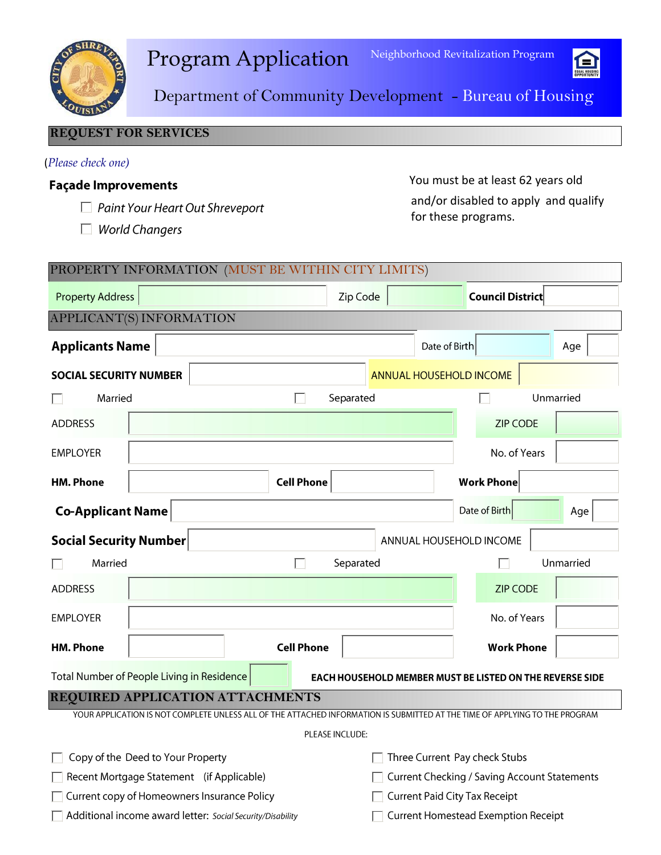



Department of Community Development - Bureau of Housing

### **REQUEST FOR SERVICES**

### (*Please check one)*

### **Façade Improvements**

- □ Paint Your Heart Out Shreveport
- $\Box$  World Changers

You must be at least 62 years old and/or disabled to apply and qualify for these programs.

| PROPERTY INFORMATION (MUST BE WITHIN CITY LIMITS)                                                                           |                                         |                                                                                                                              |           |  |               |                                            |           |  |  |  |  |  |
|-----------------------------------------------------------------------------------------------------------------------------|-----------------------------------------|------------------------------------------------------------------------------------------------------------------------------|-----------|--|---------------|--------------------------------------------|-----------|--|--|--|--|--|
| <b>Property Address</b>                                                                                                     |                                         |                                                                                                                              | Zip Code  |  |               | <b>Council District</b>                    |           |  |  |  |  |  |
| APPLICANT(S) INFORMATION                                                                                                    |                                         |                                                                                                                              |           |  |               |                                            |           |  |  |  |  |  |
| <b>Applicants Name</b>                                                                                                      |                                         |                                                                                                                              |           |  | Date of Birth |                                            | Age       |  |  |  |  |  |
| <b>SOCIAL SECURITY NUMBER</b>                                                                                               |                                         |                                                                                                                              |           |  |               | ANNUAL HOUSEHOLD INCOME                    |           |  |  |  |  |  |
| Married                                                                                                                     |                                         |                                                                                                                              | Separated |  |               |                                            | Unmarried |  |  |  |  |  |
| <b>ADDRESS</b>                                                                                                              |                                         |                                                                                                                              |           |  |               | <b>ZIP CODE</b>                            |           |  |  |  |  |  |
| <b>EMPLOYER</b>                                                                                                             |                                         |                                                                                                                              |           |  |               | No. of Years                               |           |  |  |  |  |  |
| <b>HM. Phone</b>                                                                                                            |                                         | <b>Cell Phone</b>                                                                                                            |           |  |               | <b>Work Phone</b>                          |           |  |  |  |  |  |
| <b>Co-Applicant Name</b>                                                                                                    |                                         |                                                                                                                              |           |  |               | Date of Birth                              | Age       |  |  |  |  |  |
| <b>Social Security Number</b><br>ANNUAL HOUSEHOLD INCOME                                                                    |                                         |                                                                                                                              |           |  |               |                                            |           |  |  |  |  |  |
| Married                                                                                                                     |                                         |                                                                                                                              | Separated |  |               |                                            | Unmarried |  |  |  |  |  |
| <b>ADDRESS</b>                                                                                                              |                                         |                                                                                                                              |           |  |               | <b>ZIP CODE</b>                            |           |  |  |  |  |  |
| <b>EMPLOYER</b>                                                                                                             |                                         |                                                                                                                              |           |  |               | No. of Years                               |           |  |  |  |  |  |
| <b>HM. Phone</b>                                                                                                            |                                         | <b>Cell Phone</b>                                                                                                            |           |  |               | <b>Work Phone</b>                          |           |  |  |  |  |  |
| Total Number of People Living in Residence<br><b>EACH HOUSEHOLD MEMBER MUST BE LISTED ON THE REVERSE SIDE</b>               |                                         |                                                                                                                              |           |  |               |                                            |           |  |  |  |  |  |
|                                                                                                                             | <b>REQUIRED APPLICATION ATTACHMENTS</b> |                                                                                                                              |           |  |               |                                            |           |  |  |  |  |  |
| YOUR APPLICATION IS NOT COMPLETE UNLESS ALL OF THE ATTACHED INFORMATION IS SUBMITTED AT THE TIME OF APPLYING TO THE PROGRAM |                                         |                                                                                                                              |           |  |               |                                            |           |  |  |  |  |  |
| PLEASE INCLUDE:                                                                                                             |                                         |                                                                                                                              |           |  |               |                                            |           |  |  |  |  |  |
| Copy of the Deed to Your Property                                                                                           |                                         |                                                                                                                              |           |  |               |                                            |           |  |  |  |  |  |
| Recent Mortgage Statement (if Applicable)<br>Current copy of Homeowners Insurance Policy                                    |                                         |                                                                                                                              |           |  |               |                                            |           |  |  |  |  |  |
| Additional income award letter: Social Security/Disability                                                                  |                                         |                                                                                                                              |           |  |               | <b>Current Homestead Exemption Receipt</b> |           |  |  |  |  |  |
|                                                                                                                             |                                         | Three Current Pay check Stubs<br><b>Current Checking / Saving Account Statements</b><br><b>Current Paid City Tax Receipt</b> |           |  |               |                                            |           |  |  |  |  |  |
|                                                                                                                             |                                         |                                                                                                                              |           |  |               |                                            |           |  |  |  |  |  |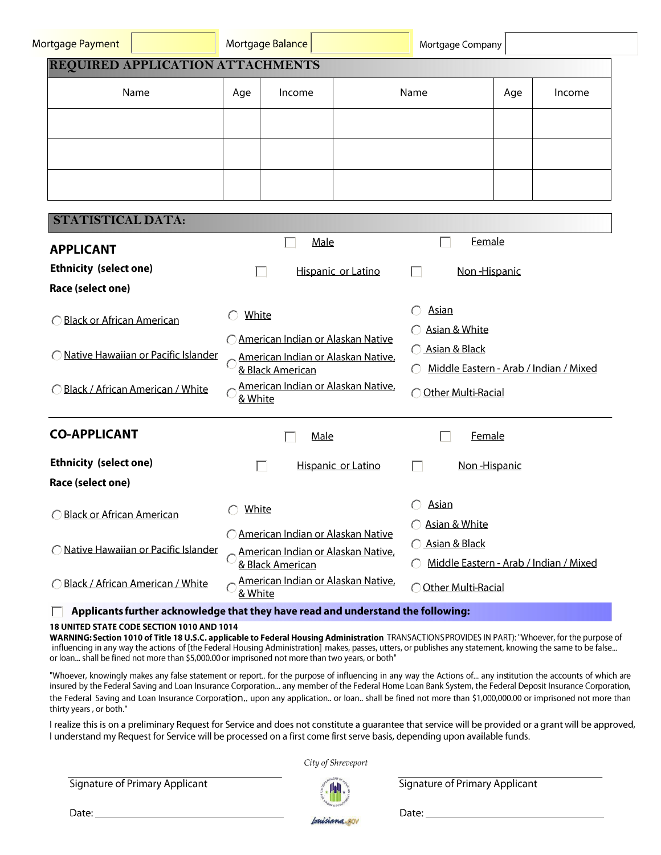| Mortgage Payment                           |                                                                                                                                                         | Mortgage Balance                                                                              |                                                                                         | Mortgage Company                                                                |     |        |  |
|--------------------------------------------|---------------------------------------------------------------------------------------------------------------------------------------------------------|-----------------------------------------------------------------------------------------------|-----------------------------------------------------------------------------------------|---------------------------------------------------------------------------------|-----|--------|--|
| REQUIRED APPLICATION ATTACHMENTS           |                                                                                                                                                         |                                                                                               |                                                                                         |                                                                                 |     |        |  |
| Name                                       | Age<br>Income                                                                                                                                           |                                                                                               |                                                                                         | Name                                                                            | Age | Income |  |
|                                            |                                                                                                                                                         |                                                                                               |                                                                                         |                                                                                 |     |        |  |
|                                            |                                                                                                                                                         |                                                                                               |                                                                                         |                                                                                 |     |        |  |
|                                            |                                                                                                                                                         |                                                                                               |                                                                                         |                                                                                 |     |        |  |
|                                            |                                                                                                                                                         |                                                                                               |                                                                                         |                                                                                 |     |        |  |
| <b>STATISTICAL DATA:</b>                   |                                                                                                                                                         |                                                                                               |                                                                                         |                                                                                 |     |        |  |
| <b>APPLICANT</b>                           |                                                                                                                                                         | Male                                                                                          |                                                                                         | <b>Female</b>                                                                   |     |        |  |
| <b>Ethnicity (select one)</b>              |                                                                                                                                                         | П                                                                                             | Hispanic or Latino                                                                      | Non-Hispanic<br>$\mathbf{L}$                                                    |     |        |  |
| Race (select one)                          |                                                                                                                                                         |                                                                                               |                                                                                         |                                                                                 |     |        |  |
| <b>Black or African American</b>           | White<br>○ American Indian or Alaskan Native<br>American Indian or Alaskan Native,<br>& Black American<br>American Indian or Alaskan Native,<br>& White |                                                                                               |                                                                                         | <b>Asian</b><br>Asian & White                                                   |     |        |  |
| <u>Native Hawaiian or Pacific Islander</u> |                                                                                                                                                         |                                                                                               |                                                                                         | ◯ Asian & Black<br>Middle Eastern - Arab / Indian / Mixed<br>Other Multi-Racial |     |        |  |
| O Black / African American / White         |                                                                                                                                                         |                                                                                               |                                                                                         |                                                                                 |     |        |  |
| <b>CO-APPLICANT</b>                        | Male                                                                                                                                                    |                                                                                               |                                                                                         | <b>Female</b>                                                                   |     |        |  |
| <b>Ethnicity (select one)</b>              |                                                                                                                                                         | H                                                                                             | Hispanic or Latino                                                                      | Non-Hispanic<br>L.                                                              |     |        |  |
| Race (select one)                          |                                                                                                                                                         |                                                                                               |                                                                                         |                                                                                 |     |        |  |
| <b>OBlack or African American</b>          | White<br>€                                                                                                                                              |                                                                                               |                                                                                         | <u>Asian</u>                                                                    |     |        |  |
| Native Hawaiian or Pacific Islander        |                                                                                                                                                         | O American Indian or Alaskan Native<br>American Indian or Alaskan Native,<br>& Black American | Asian & White<br>$\bigcap$<br>◯ Asian & Black<br>Middle Eastern - Arab / Indian / Mixed |                                                                                 |     |        |  |
| O Black / African American / White         | & White                                                                                                                                                 | American Indian or Alaskan Native,                                                            |                                                                                         | Other Multi-Racial                                                              |     |        |  |

#### 18 UNITED STATE CODE SECTION 1010 AND 1014

WARNING: Section 1010 of Title 18 U.S.C. applicable to Federal Housing Administration TRANSACTIONS PROVIDES IN PART): "Whoever, for the purpose of influencing in any way the actions of [the Federal Housing Administration] makes, passes, utters, or publishes any statement, knowing the same to be false... or loan... shall be fined not more than \$5,000.00 or imprisoned not more than two years, or both"

"Whoever, knowingly makes any false statement or report.. for the purpose of influencing in any way the Actions of... any institution the accounts of which are insured by the Federal Saving and Loan Insurance Corporation... any member of the Federal Home Loan Bank System, the Federal Deposit Insurance Corporation, the Federal Saving and Loan Insurance Corporation.. upon any application.. or loan.. shall be fined not more than \$1,000,000.00 or imprisoned not more than thirty years, or both."

I realize this is on a preliminary Request for Service and does not constitute a guarantee that service will be provided or a grant will be approved, I understand my Request for Service will be processed on a first come first serve basis, depending upon available funds.

City of Shreveport

Signature of Primary Applicant



Signature of Primary Applicant

Date:  $\_\_$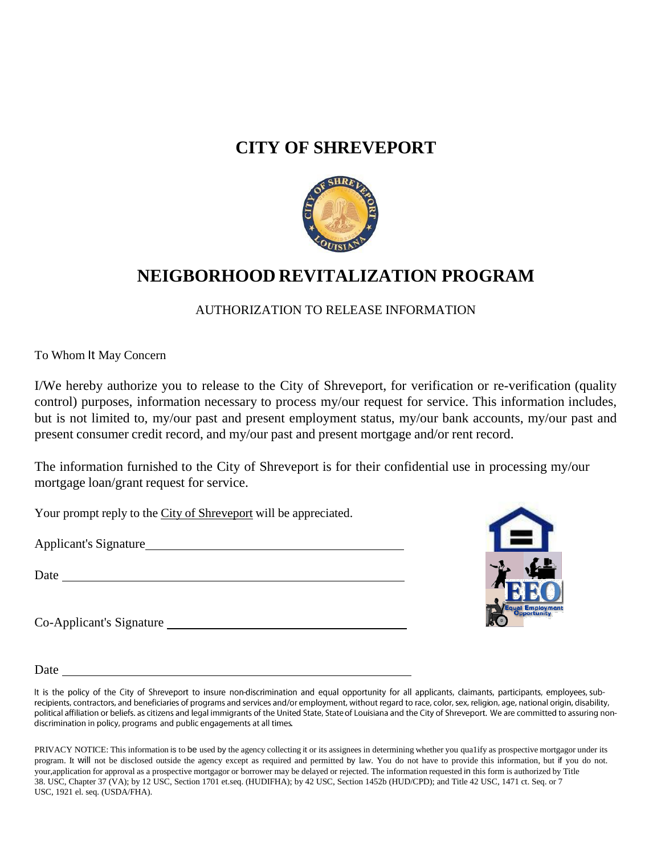## **CITY OF SHREVEPORT**



## **NEIGBORHOOD REVITALIZATION PROGRAM**

AUTHORIZATION TO RELEASE INFORMATION

To Whom It May Concern

I/We hereby authorize you to release to the City of Shreveport, for verification or re-verification (quality control) purposes, information necessary to process my/our request for service. This information includes, but is not limited to, my/our past and present employment status, my/our bank accounts, my/our past and present consumer credit record, and my/our past and present mortgage and/or rent record.

The information furnished to the City of Shreveport is for their confidential use in processing my/our mortgage loan/grant request for service.

Your prompt reply to the City of Shreveport will be appreciated.

Applicant's Signature

Date and the set of the set of the set of the set of the set of the set of the set of the set of the set of the set of the set of the set of the set of the set of the set of the set of the set of the set of the set of the

Co-Applicant's Signature



**Date** 

It is the policy of the City of Shreveport to insure non-discrimination and equal opportunity for all applicants, claimants, participants, employees, subrecipients, contractors, and beneficiaries of programs and services and/or employment, without regard to race, color, sex, religion, age, national origin, disability, political affiliation or beliefs. as citizens and legal immigrants of the United State, State of Louisiana and the City of Shreveport. We are committed to assuring nondiscrimination in policy, programs and public engagements at all times.

PRIVACY NOTICE: This information is to be used by the agency collecting it or its assignees in determining whether you qua1ify as prospective mortgagor under its program. It will not be disclosed outside the agency except as required and permitted by law. You do not have to provide this information, but if you do not. your,application for approval as a prospective mortgagor or borrower may be delayed or rejected. The information requested in this form is authorized by Title 38. USC, Chapter 37 (VA); by 12 USC, Section 1701 et.seq. (HUDIFHA); by 42 USC, Section 1452b (HUD/CPD); and Title 42 USC, 1471 ct. Seq. or 7 USC, 1921 el. seq. (USDA/FHA).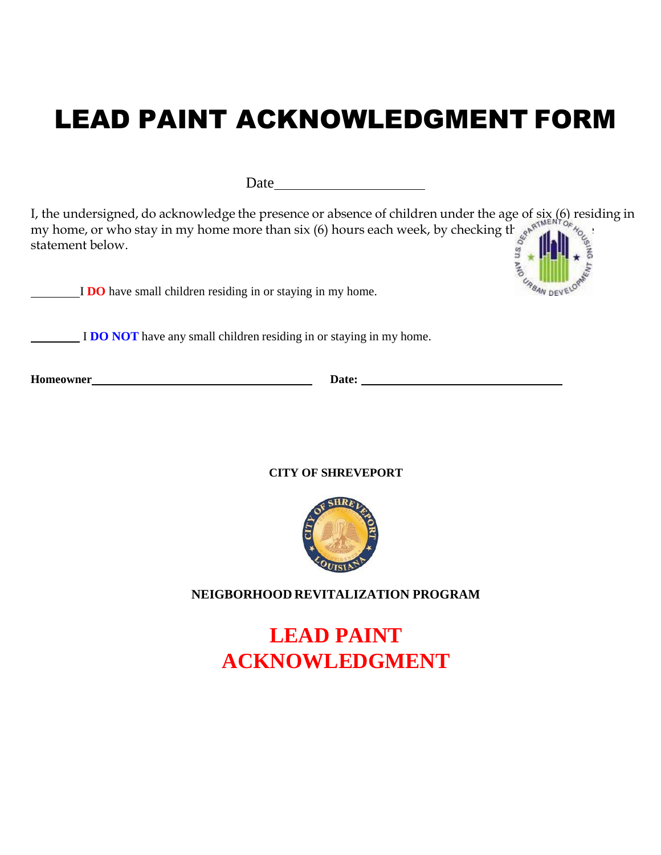# LEAD PAINT ACKNOWLEDGMENT FORM

Date and the state of the state of the state of the state of the state of the state of the state of the state of the state of the state of the state of the state of the state of the state of the state of the state of the s

I, the undersigned, do acknowledge the presence or absence of children under the age of six (6) residing in my home, or who stay in my home more than six (6) hours each week, by checking the approximation  $\frac{1}{2}$ statement below.

I **DO** have small children residing in or staying in my home.

I **DO NOT** have any small children residing in or staying in my home.

**Homeowner Date: Date: Date: Date: Date: Date: Date: Date: Date: Date: Date: Date: Date: Date: Date: Date: Date: Date: Date: Date: Date: Date: Date: Date: Date: Date: D** 

**CITY OF SHREVEPORT**



### **NEIGBORHOOD REVITALIZATION PROGRAM**

**LEAD PAINT ACKNOWLEDGMENT**

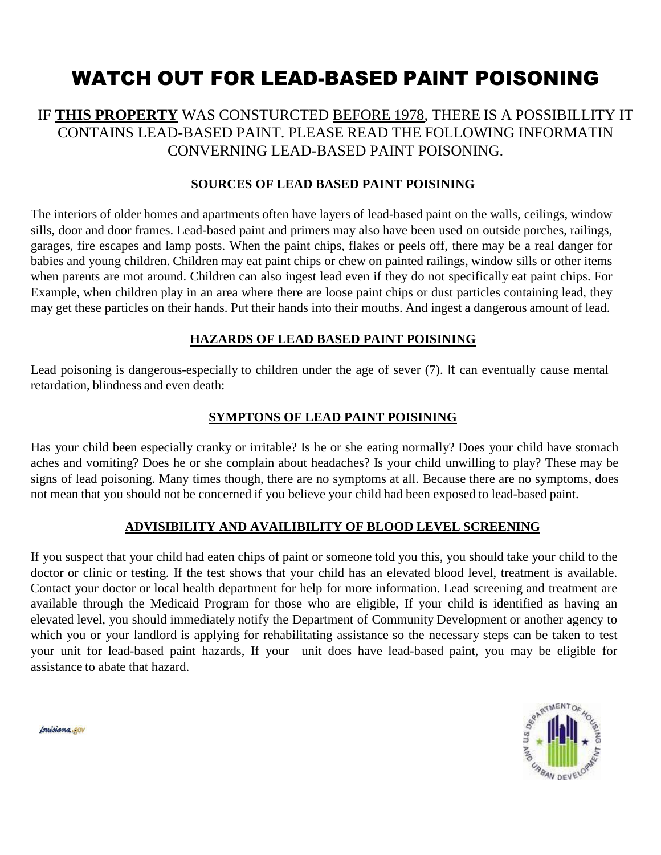## WATCH OUT FOR LEAD-BASED PAlNT POISONING

### IF **THIS PROPERTY** WAS CONSTURCTED BEFORE 1978, THERE IS A POSSIBILLITY IT CONTAINS LEAD-BASED PAINT. PLEASE READ THE FOLLOWING INFORMATIN CONVERNING LEAD-BASED PAINT POISONING.

### **SOURCES OF LEAD BASED PAINT POISINING**

The interiors of older homes and apartments often have layers of lead-based paint on the walls, ceilings, window sills, door and door frames. Lead-based paint and primers may also have been used on outside porches, railings, garages, fire escapes and lamp posts. When the paint chips, flakes or peels off, there may be a real danger for babies and young children. Children may eat paint chips or chew on painted railings, window sills or other items when parents are mot around. Children can also ingest lead even if they do not specifically eat paint chips. For Example, when children play in an area where there are loose paint chips or dust particles containing lead, they may get these particles on their hands. Put their hands into their mouths. And ingest a dangerous amount of lead.

### **HAZARDS OF LEAD BASED PAINT POISINING**

Lead poisoning is dangerous-especially to children under the age of sever (7). It can eventually cause mental retardation, blindness and even death:

### **SYMPTONS OF LEAD PAINT POISINING**

Has your child been especially cranky or irritable? Is he or she eating normally? Does your child have stomach aches and vomiting? Does he or she complain about headaches? Is your child unwilling to play? These may be signs of lead poisoning. Many times though, there are no symptoms at all. Because there are no symptoms, does not mean that you should not be concerned if you believe your child had been exposed to lead-based paint.

### **ADVISIBILITY AND AVAILIBILITY OF BLOOD LEVEL SCREENING**

If you suspect that your child had eaten chips of paint or someone told you this, you should take your child to the doctor or clinic or testing. If the test shows that your child has an elevated blood level, treatment is available. Contact your doctor or local health department for help for more information. Lead screening and treatment are available through the Medicaid Program for those who are eligible, If your child is identified as having an elevated level, you should immediately notify the Department of Community Development or another agency to which you or your landlord is applying for rehabilitating assistance so the necessary steps can be taken to test your unit for lead-based paint hazards, If your unit does have lead-based paint, you may be eligible for assistance to abate that hazard.



fonisiana.@OV